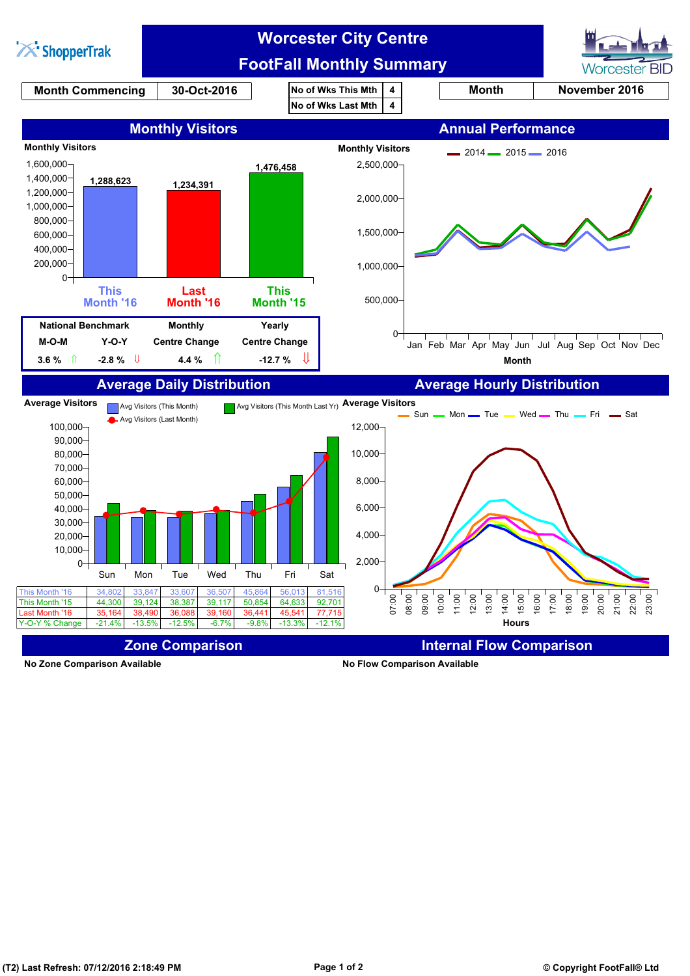

**No Zone Comparison Available No Flow Comparison Available**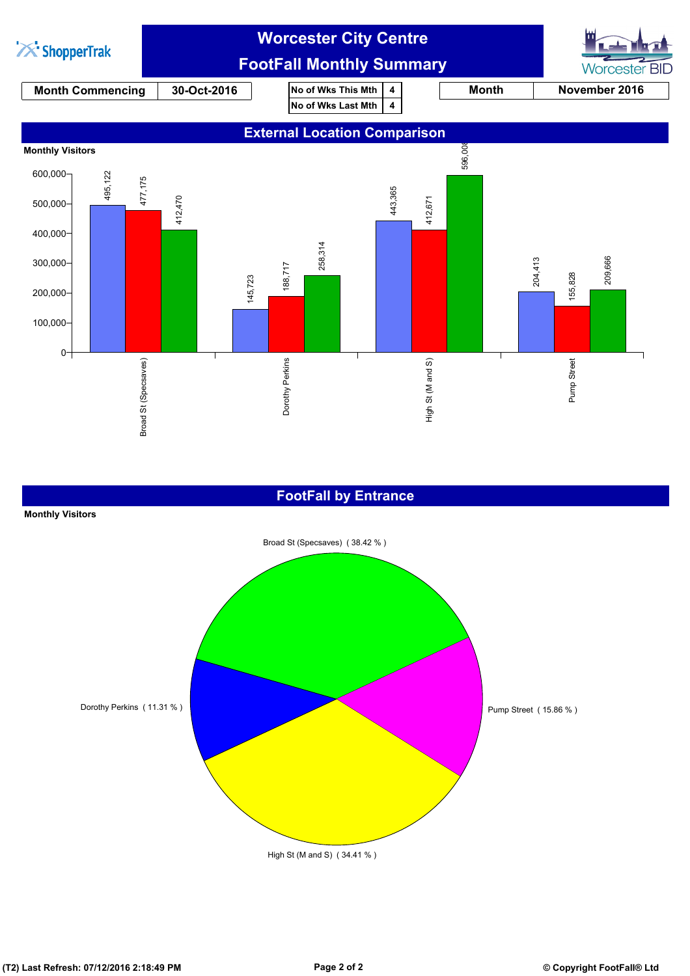

#### **FootFall by Entrance**